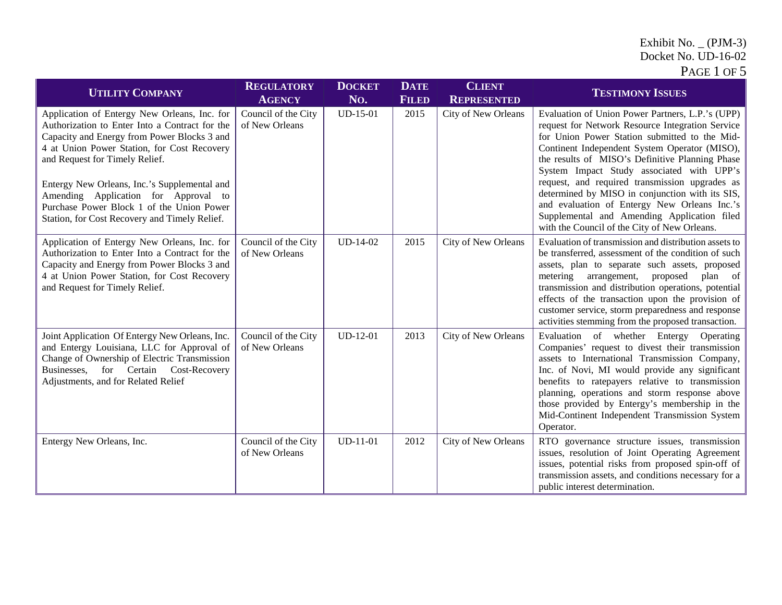## Exhibit No.  $($ PJM-3 $)$ Docket No. UD-16-02

| <b>UTILITY COMPANY</b>                                                                                                                                                                                                                                                                                                                                                                                               | <b>REGULATORY</b><br><b>AGENCY</b>    | <b>DOCKET</b><br>No. | <b>DATE</b><br><b>FILED</b> | <b>CLIENT</b><br><b>REPRESENTED</b> | <b>TESTIMONY ISSUES</b>                                                                                                                                                                                                                                                                                                                                                                                                                                                                                                                                    |
|----------------------------------------------------------------------------------------------------------------------------------------------------------------------------------------------------------------------------------------------------------------------------------------------------------------------------------------------------------------------------------------------------------------------|---------------------------------------|----------------------|-----------------------------|-------------------------------------|------------------------------------------------------------------------------------------------------------------------------------------------------------------------------------------------------------------------------------------------------------------------------------------------------------------------------------------------------------------------------------------------------------------------------------------------------------------------------------------------------------------------------------------------------------|
| Application of Entergy New Orleans, Inc. for<br>Authorization to Enter Into a Contract for the<br>Capacity and Energy from Power Blocks 3 and<br>4 at Union Power Station, for Cost Recovery<br>and Request for Timely Relief.<br>Entergy New Orleans, Inc.'s Supplemental and<br>Amending Application for Approval to<br>Purchase Power Block 1 of the Union Power<br>Station, for Cost Recovery and Timely Relief. | Council of the City<br>of New Orleans | $UD-15-01$           | 2015                        | City of New Orleans                 | Evaluation of Union Power Partners, L.P.'s (UPP)<br>request for Network Resource Integration Service<br>for Union Power Station submitted to the Mid-<br>Continent Independent System Operator (MISO),<br>the results of MISO's Definitive Planning Phase<br>System Impact Study associated with UPP's<br>request, and required transmission upgrades as<br>determined by MISO in conjunction with its SIS,<br>and evaluation of Entergy New Orleans Inc.'s<br>Supplemental and Amending Application filed<br>with the Council of the City of New Orleans. |
| Application of Entergy New Orleans, Inc. for<br>Authorization to Enter Into a Contract for the<br>Capacity and Energy from Power Blocks 3 and<br>4 at Union Power Station, for Cost Recovery<br>and Request for Timely Relief.                                                                                                                                                                                       | Council of the City<br>of New Orleans | UD-14-02             | 2015                        | City of New Orleans                 | Evaluation of transmission and distribution assets to<br>be transferred, assessment of the condition of such<br>assets, plan to separate such assets, proposed<br>metering arrangement, proposed<br>plan of<br>transmission and distribution operations, potential<br>effects of the transaction upon the provision of<br>customer service, storm preparedness and response<br>activities stemming from the proposed transaction.                                                                                                                          |
| Joint Application Of Entergy New Orleans, Inc.<br>and Entergy Louisiana, LLC for Approval of<br>Change of Ownership of Electric Transmission<br>for Certain Cost-Recovery<br>Businesses,<br>Adjustments, and for Related Relief                                                                                                                                                                                      | Council of the City<br>of New Orleans | $UD-12-01$           | 2013                        | City of New Orleans                 | Evaluation of whether Entergy<br>Operating<br>Companies' request to divest their transmission<br>assets to International Transmission Company,<br>Inc. of Novi, MI would provide any significant<br>benefits to ratepayers relative to transmission<br>planning, operations and storm response above<br>those provided by Entergy's membership in the<br>Mid-Continent Independent Transmission System<br>Operator.                                                                                                                                        |
| Entergy New Orleans, Inc.                                                                                                                                                                                                                                                                                                                                                                                            | Council of the City<br>of New Orleans | $UD-11-01$           | 2012                        | City of New Orleans                 | RTO governance structure issues, transmission<br>issues, resolution of Joint Operating Agreement<br>issues, potential risks from proposed spin-off of<br>transmission assets, and conditions necessary for a<br>public interest determination.                                                                                                                                                                                                                                                                                                             |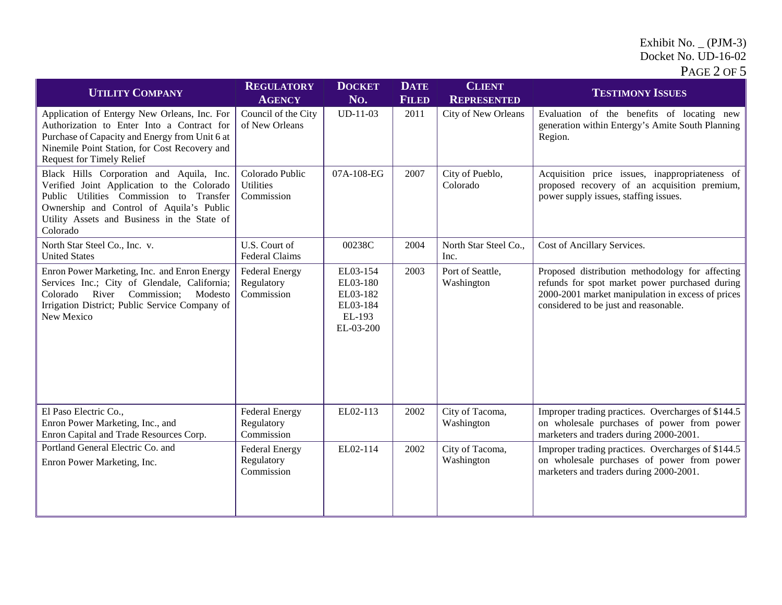## Exhibit No. \_ (PJM-3) Docket No. UD-16-02

| PAGE $2$ OF $5$ |
|-----------------|
|-----------------|

| <b>UTILITY COMPANY</b>                                                                                                                                                                                                                   | <b>REGULATORY</b><br><b>AGENCY</b>                | <b>DOCKET</b><br>No.                                                | <b>DATE</b><br><b>FILED</b> | <b>CLIENT</b><br><b>REPRESENTED</b> | <b>TESTIMONY ISSUES</b>                                                                                                                                                                         |
|------------------------------------------------------------------------------------------------------------------------------------------------------------------------------------------------------------------------------------------|---------------------------------------------------|---------------------------------------------------------------------|-----------------------------|-------------------------------------|-------------------------------------------------------------------------------------------------------------------------------------------------------------------------------------------------|
| Application of Entergy New Orleans, Inc. For<br>Authorization to Enter Into a Contract for<br>Purchase of Capacity and Energy from Unit 6 at<br>Ninemile Point Station, for Cost Recovery and<br>Request for Timely Relief               | Council of the City<br>of New Orleans             | $UD-11-03$                                                          | 2011                        | City of New Orleans                 | Evaluation of the benefits of locating new<br>generation within Entergy's Amite South Planning<br>Region.                                                                                       |
| Black Hills Corporation and Aquila, Inc.<br>Verified Joint Application to the Colorado<br>Public Utilities Commission to Transfer<br>Ownership and Control of Aquila's Public<br>Utility Assets and Business in the State of<br>Colorado | Colorado Public<br><b>Utilities</b><br>Commission | 07A-108-EG                                                          | 2007                        | City of Pueblo,<br>Colorado         | Acquisition price issues, inappropriateness of<br>proposed recovery of an acquisition premium,<br>power supply issues, staffing issues.                                                         |
| North Star Steel Co., Inc. v.<br><b>United States</b>                                                                                                                                                                                    | U.S. Court of<br>Federal Claims                   | 00238C                                                              | 2004                        | North Star Steel Co.,<br>Inc.       | Cost of Ancillary Services.                                                                                                                                                                     |
| Enron Power Marketing, Inc. and Enron Energy<br>Services Inc.; City of Glendale, California;<br>River Commission;<br>Modesto<br>Colorado<br>Irrigation District; Public Service Company of<br>New Mexico                                 | <b>Federal Energy</b><br>Regulatory<br>Commission | EL03-154<br>EL03-180<br>EL03-182<br>EL03-184<br>EL-193<br>EL-03-200 | 2003                        | Port of Seattle,<br>Washington      | Proposed distribution methodology for affecting<br>refunds for spot market power purchased during<br>2000-2001 market manipulation in excess of prices<br>considered to be just and reasonable. |
| El Paso Electric Co.,<br>Enron Power Marketing, Inc., and<br>Enron Capital and Trade Resources Corp.                                                                                                                                     | <b>Federal Energy</b><br>Regulatory<br>Commission | EL02-113                                                            | 2002                        | City of Tacoma,<br>Washington       | Improper trading practices. Overcharges of \$144.5<br>on wholesale purchases of power from power<br>marketers and traders during 2000-2001.                                                     |
| Portland General Electric Co. and<br>Enron Power Marketing, Inc.                                                                                                                                                                         | <b>Federal Energy</b><br>Regulatory<br>Commission | EL02-114                                                            | 2002                        | City of Tacoma,<br>Washington       | Improper trading practices. Overcharges of \$144.5<br>on wholesale purchases of power from power<br>marketers and traders during 2000-2001.                                                     |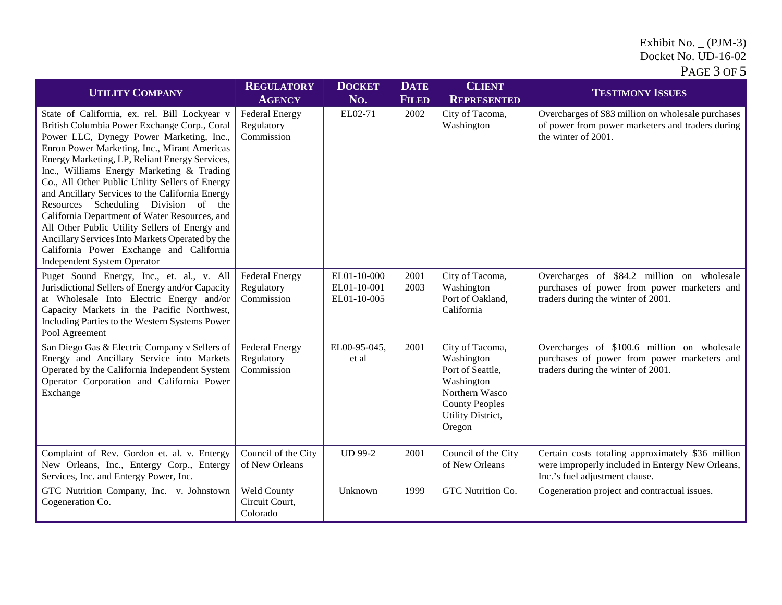## Exhibit No.  $($ PJM-3 $)$ Docket No. UD-16-02 PAGE 3 OF 5

| <b>UTILITY COMPANY</b>                                                                                                                                                                                                                                                                                                                                                                                                                                                                                                                                                                                                                                                         | <b>REGULATORY</b><br><b>AGENCY</b>                | <b>DOCKET</b><br>No.                      | <b>DATE</b><br><b>FILED</b> | <b>CLIENT</b><br><b>REPRESENTED</b>                                                                                                       | <b>TESTIMONY ISSUES</b>                                                                                                                 |
|--------------------------------------------------------------------------------------------------------------------------------------------------------------------------------------------------------------------------------------------------------------------------------------------------------------------------------------------------------------------------------------------------------------------------------------------------------------------------------------------------------------------------------------------------------------------------------------------------------------------------------------------------------------------------------|---------------------------------------------------|-------------------------------------------|-----------------------------|-------------------------------------------------------------------------------------------------------------------------------------------|-----------------------------------------------------------------------------------------------------------------------------------------|
| State of California, ex. rel. Bill Lockyear v<br>British Columbia Power Exchange Corp., Coral<br>Power LLC, Dynegy Power Marketing, Inc.,<br>Enron Power Marketing, Inc., Mirant Americas<br>Energy Marketing, LP, Reliant Energy Services,<br>Inc., Williams Energy Marketing & Trading<br>Co., All Other Public Utility Sellers of Energy<br>and Ancillary Services to the California Energy<br>Resources Scheduling Division of the<br>California Department of Water Resources, and<br>All Other Public Utility Sellers of Energy and<br>Ancillary Services Into Markets Operated by the<br>California Power Exchange and California<br><b>Independent System Operator</b> | <b>Federal Energy</b><br>Regulatory<br>Commission | EL02-71                                   | 2002                        | City of Tacoma,<br>Washington                                                                                                             | Overcharges of \$83 million on wholesale purchases<br>of power from power marketers and traders during<br>the winter of 2001.           |
| Puget Sound Energy, Inc., et. al., v. All<br>Jurisdictional Sellers of Energy and/or Capacity<br>at Wholesale Into Electric Energy and/or<br>Capacity Markets in the Pacific Northwest,<br>Including Parties to the Western Systems Power<br>Pool Agreement                                                                                                                                                                                                                                                                                                                                                                                                                    | <b>Federal Energy</b><br>Regulatory<br>Commission | EL01-10-000<br>EL01-10-001<br>EL01-10-005 | 2001<br>2003                | City of Tacoma,<br>Washington<br>Port of Oakland,<br>California                                                                           | Overcharges of \$84.2 million on wholesale<br>purchases of power from power marketers and<br>traders during the winter of 2001.         |
| San Diego Gas & Electric Company v Sellers of<br>Energy and Ancillary Service into Markets<br>Operated by the California Independent System<br>Operator Corporation and California Power<br>Exchange                                                                                                                                                                                                                                                                                                                                                                                                                                                                           | <b>Federal Energy</b><br>Regulatory<br>Commission | EL00-95-045,<br>et al                     | 2001                        | City of Tacoma,<br>Washington<br>Port of Seattle,<br>Washington<br>Northern Wasco<br><b>County Peoples</b><br>Utility District,<br>Oregon | Overcharges of \$100.6 million on wholesale<br>purchases of power from power marketers and<br>traders during the winter of 2001.        |
| Complaint of Rev. Gordon et. al. v. Entergy<br>New Orleans, Inc., Entergy Corp., Entergy<br>Services, Inc. and Entergy Power, Inc.                                                                                                                                                                                                                                                                                                                                                                                                                                                                                                                                             | Council of the City<br>of New Orleans             | <b>UD 99-2</b>                            | 2001                        | Council of the City<br>of New Orleans                                                                                                     | Certain costs totaling approximately \$36 million<br>were improperly included in Entergy New Orleans,<br>Inc.'s fuel adjustment clause. |
| GTC Nutrition Company, Inc. v. Johnstown<br>Cogeneration Co.                                                                                                                                                                                                                                                                                                                                                                                                                                                                                                                                                                                                                   | Weld County<br>Circuit Court,<br>Colorado         | Unknown                                   | 1999                        | GTC Nutrition Co.                                                                                                                         | Cogeneration project and contractual issues.                                                                                            |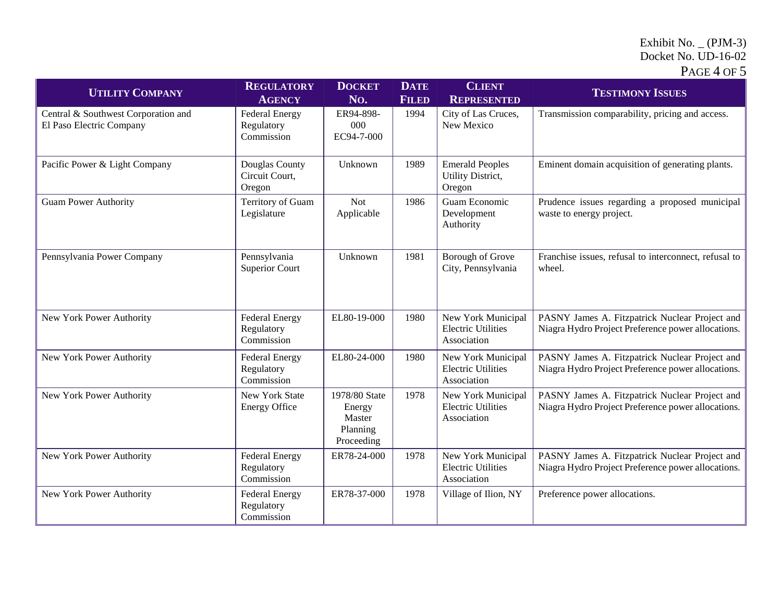## Exhibit No.  $($ PJM-3 $)$ Docket No. UD-16-02

| <b>UTILITY COMPANY</b>                                          | <b>REGULATORY</b><br><b>AGENCY</b>                | <b>DOCKET</b><br>No.                                        | <b>DATE</b><br><b>FILED</b> | <b>CLIENT</b><br><b>REPRESENTED</b>                            | <b>TESTIMONY ISSUES</b>                                                                              |
|-----------------------------------------------------------------|---------------------------------------------------|-------------------------------------------------------------|-----------------------------|----------------------------------------------------------------|------------------------------------------------------------------------------------------------------|
| Central & Southwest Corporation and<br>El Paso Electric Company | <b>Federal Energy</b><br>Regulatory<br>Commission | ER94-898-<br>000<br>EC94-7-000                              | 1994                        | City of Las Cruces,<br>New Mexico                              | Transmission comparability, pricing and access.                                                      |
| Pacific Power & Light Company                                   | Douglas County<br>Circuit Court,<br>Oregon        | Unknown                                                     | 1989                        | <b>Emerald Peoples</b><br>Utility District,<br>Oregon          | Eminent domain acquisition of generating plants.                                                     |
| <b>Guam Power Authority</b>                                     | Territory of Guam<br>Legislature                  | <b>Not</b><br>Applicable                                    | 1986                        | Guam Economic<br>Development<br>Authority                      | Prudence issues regarding a proposed municipal<br>waste to energy project.                           |
| Pennsylvania Power Company                                      | Pennsylvania<br><b>Superior Court</b>             | Unknown                                                     | 1981                        | Borough of Grove<br>City, Pennsylvania                         | Franchise issues, refusal to interconnect, refusal to<br>wheel.                                      |
| New York Power Authority                                        | <b>Federal Energy</b><br>Regulatory<br>Commission | EL80-19-000                                                 | 1980                        | New York Municipal<br><b>Electric Utilities</b><br>Association | PASNY James A. Fitzpatrick Nuclear Project and<br>Niagra Hydro Project Preference power allocations. |
| New York Power Authority                                        | <b>Federal Energy</b><br>Regulatory<br>Commission | EL80-24-000                                                 | 1980                        | New York Municipal<br><b>Electric Utilities</b><br>Association | PASNY James A. Fitzpatrick Nuclear Project and<br>Niagra Hydro Project Preference power allocations. |
| New York Power Authority                                        | New York State<br><b>Energy Office</b>            | 1978/80 State<br>Energy<br>Master<br>Planning<br>Proceeding | 1978                        | New York Municipal<br><b>Electric Utilities</b><br>Association | PASNY James A. Fitzpatrick Nuclear Project and<br>Niagra Hydro Project Preference power allocations. |
| New York Power Authority                                        | <b>Federal Energy</b><br>Regulatory<br>Commission | ER78-24-000                                                 | 1978                        | New York Municipal<br><b>Electric Utilities</b><br>Association | PASNY James A. Fitzpatrick Nuclear Project and<br>Niagra Hydro Project Preference power allocations. |
| New York Power Authority                                        | <b>Federal Energy</b><br>Regulatory<br>Commission | ER78-37-000                                                 | 1978                        | Village of Ilion, NY                                           | Preference power allocations.                                                                        |